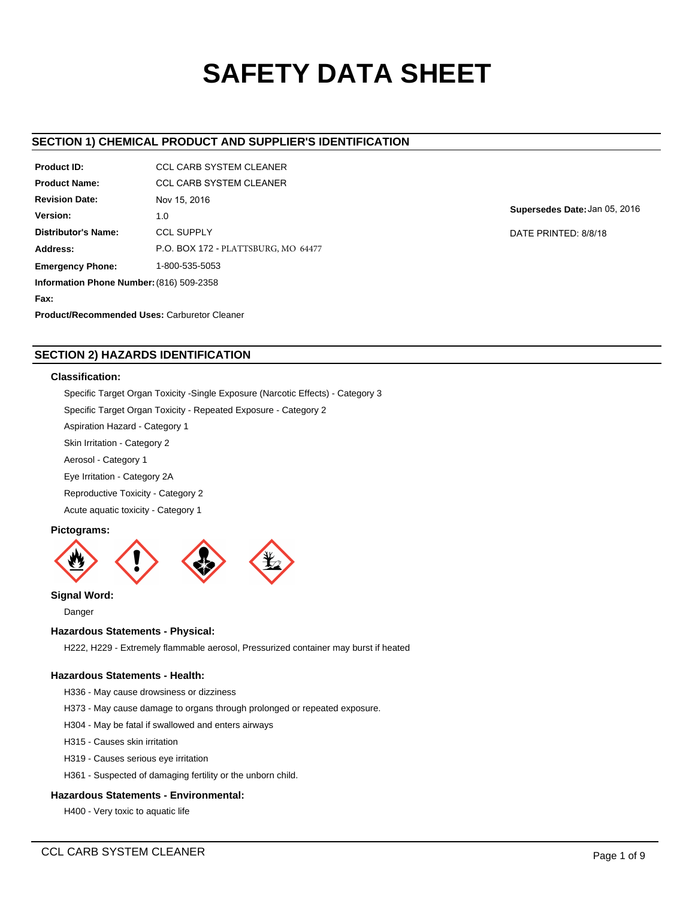# **SAFETY DATA SHEET**

# **SECTION 1) CHEMICAL PRODUCT AND SUPPLIER'S IDENTIFICATION**

| Product ID:                                         | <b>CCL CARB SYSTEM CLEANER</b>      |  |  |  |  |
|-----------------------------------------------------|-------------------------------------|--|--|--|--|
| <b>Product Name:</b>                                | <b>CCL CARB SYSTEM CLEANER</b>      |  |  |  |  |
| <b>Revision Date:</b>                               | Nov 15, 2016                        |  |  |  |  |
| Version:                                            | 1.0                                 |  |  |  |  |
| <b>Distributor's Name:</b>                          | <b>CCL SUPPLY</b>                   |  |  |  |  |
| Address:                                            | P.O. BOX 172 - PLATTSBURG, MO 64477 |  |  |  |  |
| 1-800-535-5053<br><b>Emergency Phone:</b>           |                                     |  |  |  |  |
| Information Phone Number: (816) 509-2358            |                                     |  |  |  |  |
| Fax:                                                |                                     |  |  |  |  |
| <b>Product/Recommended Uses: Carburetor Cleaner</b> |                                     |  |  |  |  |

**Supersedes Date:**Jan 05, 2016

DATE PRINTED: 8/8/18

# **SECTION 2) HAZARDS IDENTIFICATION**

## **Classification:**

Specific Target Organ Toxicity -Single Exposure (Narcotic Effects) - Category 3

Specific Target Organ Toxicity - Repeated Exposure - Category 2

Aspiration Hazard - Category 1

Skin Irritation - Category 2

Aerosol - Category 1

Eye Irritation - Category 2A

Reproductive Toxicity - Category 2

Acute aquatic toxicity - Category 1

# **Pictograms:**



**Signal Word:**

Danger

## **Hazardous Statements - Physical:**

H222, H229 - Extremely flammable aerosol, Pressurized container may burst if heated

## **Hazardous Statements - Health:**

H336 - May cause drowsiness or dizziness

H373 - May cause damage to organs through prolonged or repeated exposure.

H304 - May be fatal if swallowed and enters airways

H315 - Causes skin irritation

H319 - Causes serious eye irritation

H361 - Suspected of damaging fertility or the unborn child.

## **Hazardous Statements - Environmental:**

H400 - Very toxic to aquatic life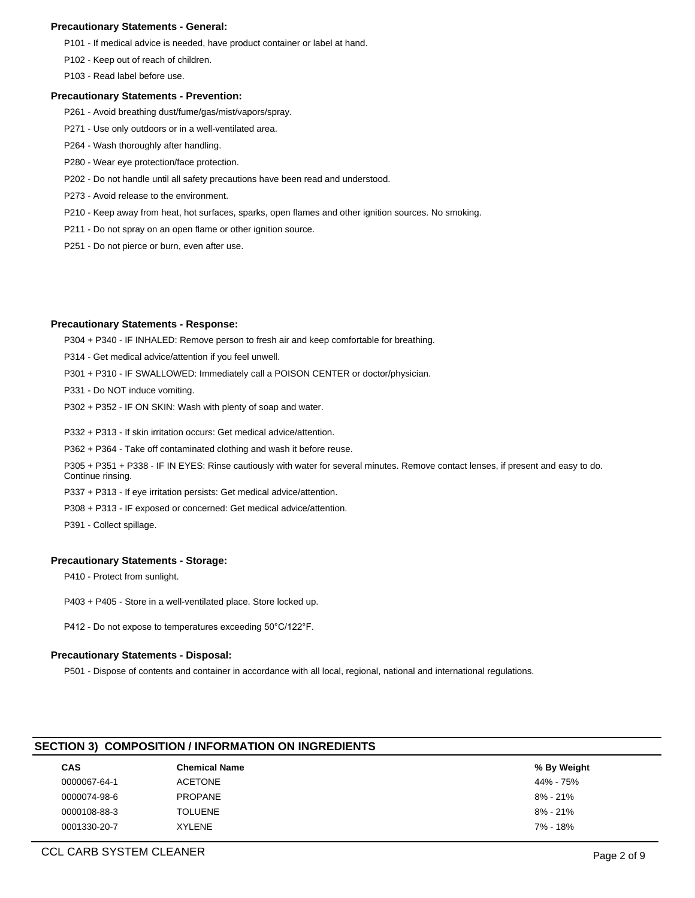## **Precautionary Statements - General:**

P101 - If medical advice is needed, have product container or label at hand.

P102 - Keep out of reach of children.

P103 - Read label before use.

## **Precautionary Statements - Prevention:**

- P261 Avoid breathing dust/fume/gas/mist/vapors/spray.
- P271 Use only outdoors or in a well-ventilated area.
- P264 Wash thoroughly after handling.
- P280 Wear eye protection/face protection.
- P202 Do not handle until all safety precautions have been read and understood.
- P273 Avoid release to the environment.
- P210 Keep away from heat, hot surfaces, sparks, open flames and other ignition sources. No smoking.
- P211 Do not spray on an open flame or other ignition source.
- P251 Do not pierce or burn, even after use.

## **Precautionary Statements - Response:**

P304 + P340 - IF INHALED: Remove person to fresh air and keep comfortable for breathing.

- P314 Get medical advice/attention if you feel unwell.
- P301 + P310 IF SWALLOWED: Immediately call a POISON CENTER or doctor/physician.
- P331 Do NOT induce vomiting.
- P302 + P352 IF ON SKIN: Wash with plenty of soap and water.
- P332 + P313 If skin irritation occurs: Get medical advice/attention.
- P362 + P364 Take off contaminated clothing and wash it before reuse.

P305 + P351 + P338 - IF IN EYES: Rinse cautiously with water for several minutes. Remove contact lenses, if present and easy to do. Continue rinsing.

- P337 + P313 If eye irritation persists: Get medical advice/attention.
- P308 + P313 IF exposed or concerned: Get medical advice/attention.
- P391 Collect spillage.

### **Precautionary Statements - Storage:**

P410 - Protect from sunlight.

- P403 + P405 Store in a well-ventilated place. Store locked up.
- P412 Do not expose to temperatures exceeding 50°C/122°F.

## **Precautionary Statements - Disposal:**

P501 - Dispose of contents and container in accordance with all local, regional, national and international regulations.

## **SECTION 3) COMPOSITION / INFORMATION ON INGREDIENTS**

| <b>CAS</b>   | <b>Chemical Name</b> | % By Weight |
|--------------|----------------------|-------------|
| 0000067-64-1 | <b>ACETONE</b>       | 44% - 75%   |
| 0000074-98-6 | PROPANE              | 8% - 21%    |
| 0000108-88-3 | <b>TOLUENE</b>       | 8% - 21%    |
| 0001330-20-7 | <b>XYLENE</b>        | 7% - 18%    |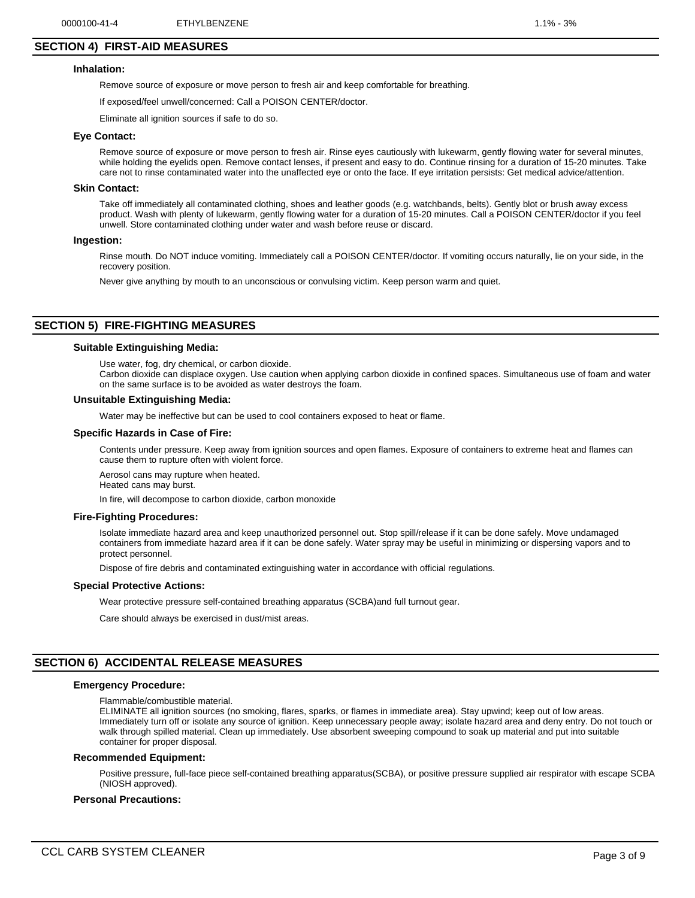## **SECTION 4) FIRST-AID MEASURES**

## **Inhalation:**

Remove source of exposure or move person to fresh air and keep comfortable for breathing.

If exposed/feel unwell/concerned: Call a POISON CENTER/doctor.

Eliminate all ignition sources if safe to do so.

#### **Eye Contact:**

Remove source of exposure or move person to fresh air. Rinse eyes cautiously with lukewarm, gently flowing water for several minutes, while holding the eyelids open. Remove contact lenses, if present and easy to do. Continue rinsing for a duration of 15-20 minutes. Take care not to rinse contaminated water into the unaffected eye or onto the face. If eye irritation persists: Get medical advice/attention.

#### **Skin Contact:**

Take off immediately all contaminated clothing, shoes and leather goods (e.g. watchbands, belts). Gently blot or brush away excess product. Wash with plenty of lukewarm, gently flowing water for a duration of 15-20 minutes. Call a POISON CENTER/doctor if you feel unwell. Store contaminated clothing under water and wash before reuse or discard.

#### **Ingestion:**

Rinse mouth. Do NOT induce vomiting. Immediately call a POISON CENTER/doctor. If vomiting occurs naturally, lie on your side, in the recovery position.

Never give anything by mouth to an unconscious or convulsing victim. Keep person warm and quiet.

## **SECTION 5) FIRE-FIGHTING MEASURES**

# **Suitable Extinguishing Media:**

Use water, fog, dry chemical, or carbon dioxide.

Carbon dioxide can displace oxygen. Use caution when applying carbon dioxide in confined spaces. Simultaneous use of foam and water on the same surface is to be avoided as water destroys the foam.

#### **Unsuitable Extinguishing Media:**

Water may be ineffective but can be used to cool containers exposed to heat or flame.

#### **Specific Hazards in Case of Fire:**

Contents under pressure. Keep away from ignition sources and open flames. Exposure of containers to extreme heat and flames can cause them to rupture often with violent force.

Aerosol cans may rupture when heated. Heated cans may burst.

In fire, will decompose to carbon dioxide, carbon monoxide

#### **Fire-Fighting Procedures:**

Isolate immediate hazard area and keep unauthorized personnel out. Stop spill/release if it can be done safely. Move undamaged containers from immediate hazard area if it can be done safely. Water spray may be useful in minimizing or dispersing vapors and to protect personnel.

Dispose of fire debris and contaminated extinguishing water in accordance with official regulations.

#### **Special Protective Actions:**

Wear protective pressure self-contained breathing apparatus (SCBA)and full turnout gear.

Care should always be exercised in dust/mist areas.

## **SECTION 6) ACCIDENTAL RELEASE MEASURES**

## **Emergency Procedure:**

Flammable/combustible material.

ELIMINATE all ignition sources (no smoking, flares, sparks, or flames in immediate area). Stay upwind; keep out of low areas. Immediately turn off or isolate any source of ignition. Keep unnecessary people away; isolate hazard area and deny entry. Do not touch or walk through spilled material. Clean up immediately. Use absorbent sweeping compound to soak up material and put into suitable container for proper disposal.

#### **Recommended Equipment:**

Positive pressure, full-face piece self-contained breathing apparatus(SCBA), or positive pressure supplied air respirator with escape SCBA (NIOSH approved).

#### **Personal Precautions:**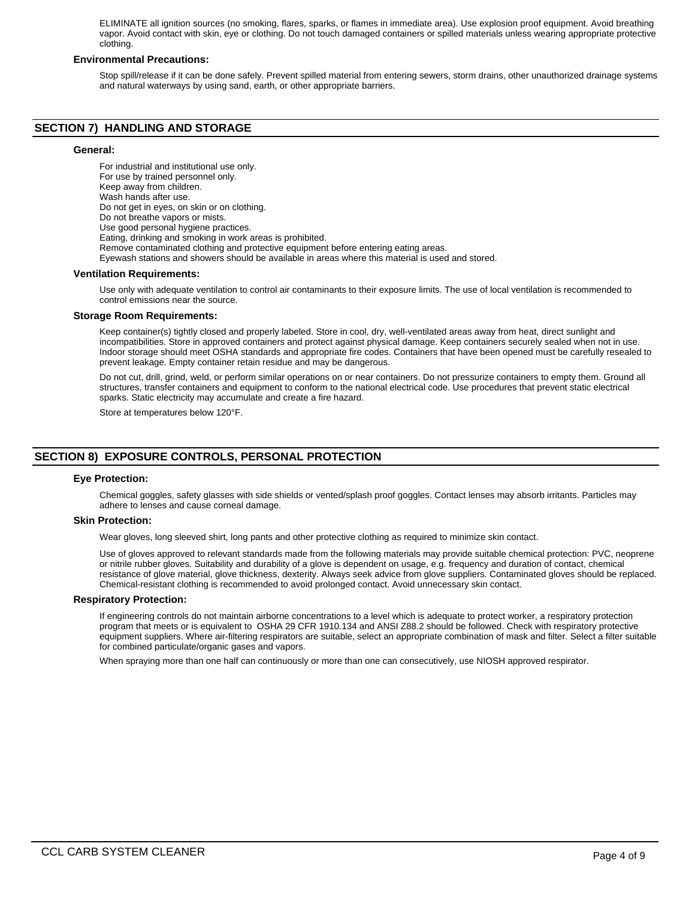ELIMINATE all ignition sources (no smoking, flares, sparks, or flames in immediate area). Use explosion proof equipment. Avoid breathing vapor. Avoid contact with skin, eye or clothing. Do not touch damaged containers or spilled materials unless wearing appropriate protective clothing.

## **Environmental Precautions:**

Stop spill/release if it can be done safely. Prevent spilled material from entering sewers, storm drains, other unauthorized drainage systems and natural waterways by using sand, earth, or other appropriate barriers.

## **SECTION 7) HANDLING AND STORAGE**

## **General:**

For industrial and institutional use only. For use by trained personnel only. Keep away from children. Wash hands after use. Do not get in eyes, on skin or on clothing. Do not breathe vapors or mists. Use good personal hygiene practices. Eating, drinking and smoking in work areas is prohibited. Remove contaminated clothing and protective equipment before entering eating areas. Eyewash stations and showers should be available in areas where this material is used and stored. **Ventilation Requirements:**

Use only with adequate ventilation to control air contaminants to their exposure limits. The use of local ventilation is recommended to control emissions near the source.

#### **Storage Room Requirements:**

Keep container(s) tightly closed and properly labeled. Store in cool, dry, well-ventilated areas away from heat, direct sunlight and incompatibilities. Store in approved containers and protect against physical damage. Keep containers securely sealed when not in use. Indoor storage should meet OSHA standards and appropriate fire codes. Containers that have been opened must be carefully resealed to prevent leakage. Empty container retain residue and may be dangerous.

Do not cut, drill, grind, weld, or perform similar operations on or near containers. Do not pressurize containers to empty them. Ground all structures, transfer containers and equipment to conform to the national electrical code. Use procedures that prevent static electrical sparks. Static electricity may accumulate and create a fire hazard.

Store at temperatures below 120°F.

# **SECTION 8) EXPOSURE CONTROLS, PERSONAL PROTECTION**

#### **Eye Protection:**

Chemical goggles, safety glasses with side shields or vented/splash proof goggles. Contact lenses may absorb irritants. Particles may adhere to lenses and cause corneal damage.

#### **Skin Protection:**

Wear gloves, long sleeved shirt, long pants and other protective clothing as required to minimize skin contact.

Use of gloves approved to relevant standards made from the following materials may provide suitable chemical protection: PVC, neoprene or nitrile rubber gloves. Suitability and durability of a glove is dependent on usage, e.g. frequency and duration of contact, chemical resistance of glove material, glove thickness, dexterity. Always seek advice from glove suppliers. Contaminated gloves should be replaced. Chemical-resistant clothing is recommended to avoid prolonged contact. Avoid unnecessary skin contact.

#### **Respiratory Protection:**

If engineering controls do not maintain airborne concentrations to a level which is adequate to protect worker, a respiratory protection program that meets or is equivalent to OSHA 29 CFR 1910.134 and ANSI Z88.2 should be followed. Check with respiratory protective equipment suppliers. Where air-filtering respirators are suitable, select an appropriate combination of mask and filter. Select a filter suitable for combined particulate/organic gases and vapors.

When spraying more than one half can continuously or more than one can consecutively, use NIOSH approved respirator.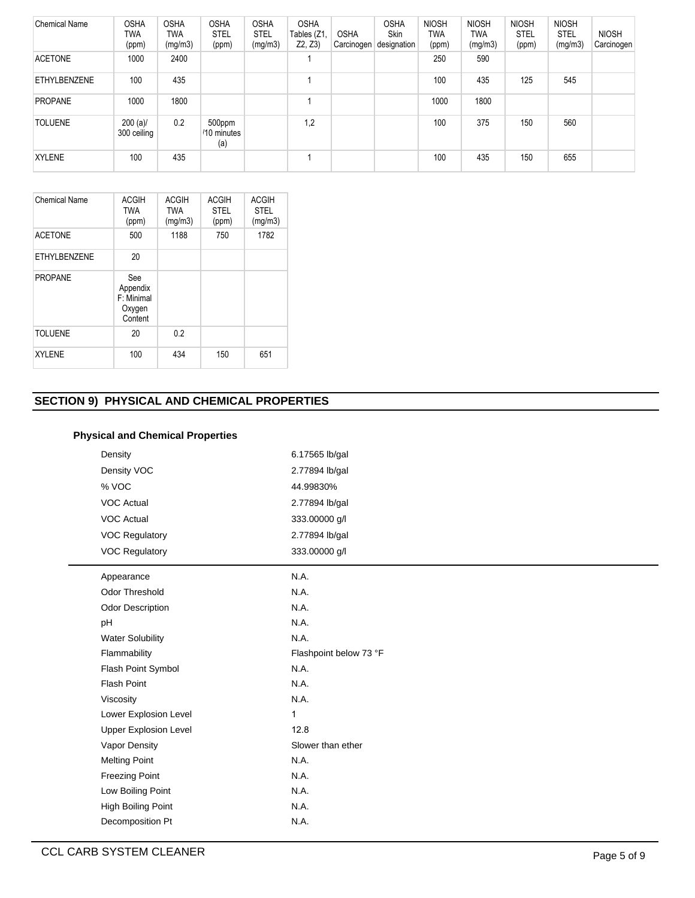| <b>Chemical Name</b> | <b>OSHA</b><br>TWA<br>(ppm) | <b>OSHA</b><br><b>TWA</b><br>(mg/m3) | <b>OSHA</b><br><b>STEL</b><br>(ppm) | <b>OSHA</b><br><b>STEL</b><br>(mg/m3) | <b>OSHA</b><br>Tables (Z1,<br>Z2, Z3 | <b>OSHA</b><br>Carcinogen | <b>OSHA</b><br><b>Skin</b><br>designation | <b>NIOSH</b><br><b>TWA</b><br>(ppm) | <b>NIOSH</b><br>TWA<br>(mg/m3) | <b>NIOSH</b><br><b>STEL</b><br>(ppm) | <b>NIOSH</b><br><b>STEL</b><br>(mg/m3) | <b>NIOSH</b><br>Carcinogen |
|----------------------|-----------------------------|--------------------------------------|-------------------------------------|---------------------------------------|--------------------------------------|---------------------------|-------------------------------------------|-------------------------------------|--------------------------------|--------------------------------------|----------------------------------------|----------------------------|
| <b>ACETONE</b>       | 1000                        | 2400                                 |                                     |                                       |                                      |                           |                                           | 250                                 | 590                            |                                      |                                        |                            |
| ETHYLBENZENE         | 100                         | 435                                  |                                     |                                       |                                      |                           |                                           | 100                                 | 435                            | 125                                  | 545                                    |                            |
| PROPANE              | 1000                        | 1800                                 |                                     |                                       |                                      |                           |                                           | 1000                                | 1800                           |                                      |                                        |                            |
| <b>TOLUENE</b>       | $200 (a)$ /<br>300 ceiling  | 0.2                                  | 500ppm<br>/10 minutes<br>(a)        |                                       | 1,2                                  |                           |                                           | 100                                 | 375                            | 150                                  | 560                                    |                            |
| <b>XYLENE</b>        | 100                         | 435                                  |                                     |                                       |                                      |                           |                                           | 100                                 | 435                            | 150                                  | 655                                    |                            |

| Chemical Name       | <b>ACGIH</b><br><b>TWA</b><br>(ppm)                | <b>ACGIH</b><br><b>TWA</b><br>(mg/m3) | <b>ACGIH</b><br><b>STEL</b><br>(ppm) | <b>ACGIH</b><br><b>STEL</b><br>(mg/m3) |
|---------------------|----------------------------------------------------|---------------------------------------|--------------------------------------|----------------------------------------|
| <b>ACETONE</b>      | 500                                                | 1188                                  | 750                                  | 1782                                   |
| <b>ETHYLBENZENE</b> | 20                                                 |                                       |                                      |                                        |
| <b>PROPANE</b>      | See<br>Appendix<br>F: Minimal<br>Oxygen<br>Content |                                       |                                      |                                        |
| <b>TOLUENE</b>      | 20                                                 | 0.2                                   |                                      |                                        |
| <b>XYLENE</b>       | 100                                                | 434                                   | 150                                  | 651                                    |

# **SECTION 9) PHYSICAL AND CHEMICAL PROPERTIES**

| <b>Physical and Chemical Properties</b> |
|-----------------------------------------|
|-----------------------------------------|

| Density                      | 6.17565 lb/gal         |
|------------------------------|------------------------|
| Density VOC                  | 2.77894 lb/gal         |
| % VOC                        | 44.99830%              |
| <b>VOC Actual</b>            | 2.77894 lb/gal         |
| <b>VOC Actual</b>            | 333.00000 g/l          |
| <b>VOC Regulatory</b>        | 2.77894 lb/gal         |
| <b>VOC Regulatory</b>        | 333.00000 g/l          |
| Appearance                   | N.A.                   |
| <b>Odor Threshold</b>        | N.A.                   |
| <b>Odor Description</b>      | N.A.                   |
| pH                           | N.A.                   |
| <b>Water Solubility</b>      | N.A.                   |
| Flammability                 | Flashpoint below 73 °F |
| Flash Point Symbol           | N.A.                   |
| <b>Flash Point</b>           | N.A.                   |
| Viscosity                    | N.A.                   |
| Lower Explosion Level        | $\mathbf{1}$           |
| <b>Upper Explosion Level</b> | 12.8                   |
| Vapor Density                | Slower than ether      |
| <b>Melting Point</b>         | N.A.                   |
| <b>Freezing Point</b>        | N.A.                   |
| Low Boiling Point            | N.A.                   |
| <b>High Boiling Point</b>    | N.A.                   |
| Decomposition Pt             | N.A.                   |
|                              |                        |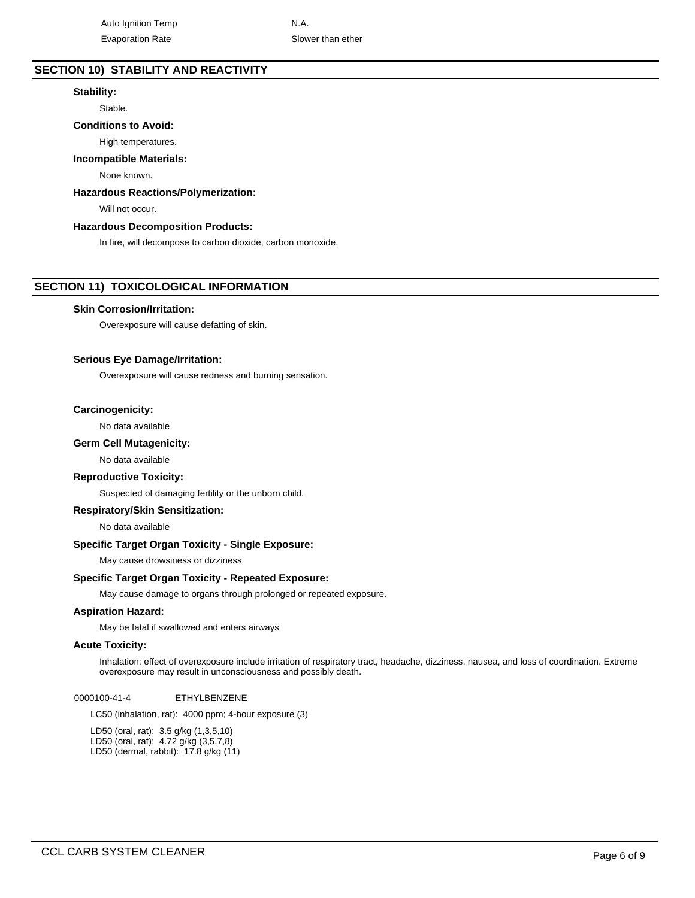# **SECTION 10) STABILITY AND REACTIVITY**

## **Stability:**

Stable.

## **Conditions to Avoid:**

High temperatures.

## **Incompatible Materials:**

None known.

## **Hazardous Reactions/Polymerization:**

Will not occur.

## **Hazardous Decomposition Products:**

In fire, will decompose to carbon dioxide, carbon monoxide.

## **SECTION 11) TOXICOLOGICAL INFORMATION**

#### **Skin Corrosion/Irritation:**

Overexposure will cause defatting of skin.

## **Serious Eye Damage/Irritation:**

Overexposure will cause redness and burning sensation.

## **Carcinogenicity:**

No data available

### **Germ Cell Mutagenicity:**

No data available

### **Reproductive Toxicity:**

Suspected of damaging fertility or the unborn child.

## **Respiratory/Skin Sensitization:**

No data available

## **Specific Target Organ Toxicity - Single Exposure:**

May cause drowsiness or dizziness

## **Specific Target Organ Toxicity - Repeated Exposure:**

May cause damage to organs through prolonged or repeated exposure.

## **Aspiration Hazard:**

May be fatal if swallowed and enters airways

#### **Acute Toxicity:**

Inhalation: effect of overexposure include irritation of respiratory tract, headache, dizziness, nausea, and loss of coordination. Extreme overexposure may result in unconsciousness and possibly death.

0000100-41-4 ETHYLBENZENE

LC50 (inhalation, rat): 4000 ppm; 4-hour exposure (3)

LD50 (oral, rat): 3.5 g/kg (1,3,5,10) LD50 (oral, rat): 4.72 g/kg (3,5,7,8) LD50 (dermal, rabbit): 17.8 g/kg (11)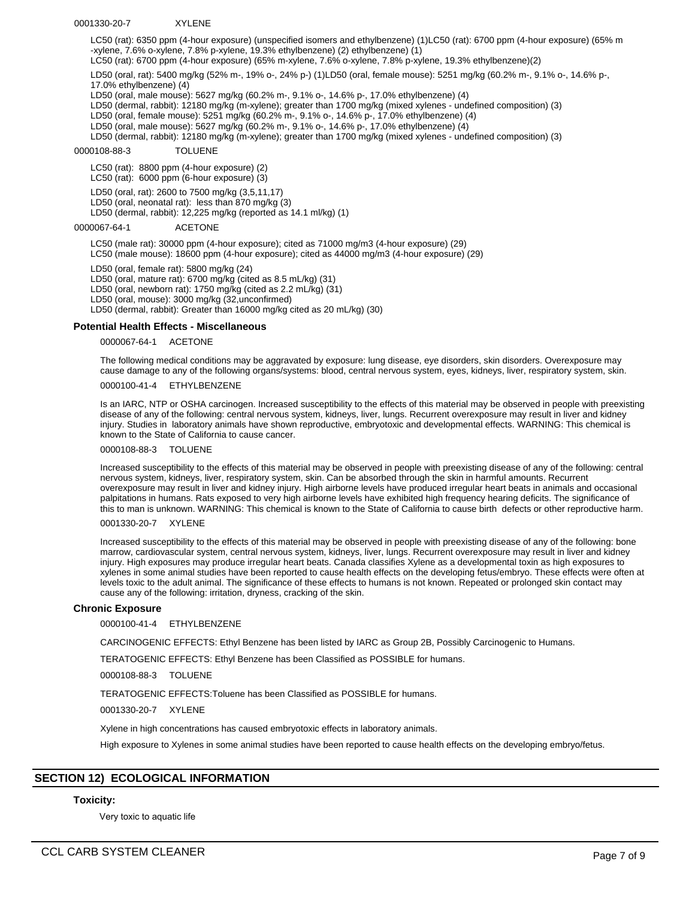#### 0001330-20-7 XYLENE

LC50 (rat): 6350 ppm (4-hour exposure) (unspecified isomers and ethylbenzene) (1)LC50 (rat): 6700 ppm (4-hour exposure) (65% m -xylene, 7.6% o-xylene, 7.8% p-xylene, 19.3% ethylbenzene) (2) ethylbenzene) (1)

LC50 (rat): 6700 ppm (4-hour exposure) (65% m-xylene, 7.6% o-xylene, 7.8% p-xylene, 19.3% ethylbenzene)(2)

LD50 (oral, rat): 5400 mg/kg (52% m-, 19% o-, 24% p-) (1)LD50 (oral, female mouse): 5251 mg/kg (60.2% m-, 9.1% o-, 14.6% p-, 17.0% ethylbenzene) (4)

LD50 (oral, male mouse): 5627 mg/kg (60.2% m-, 9.1% o-, 14.6% p-, 17.0% ethylbenzene) (4)

LD50 (dermal, rabbit): 12180 mg/kg (m-xylene); greater than 1700 mg/kg (mixed xylenes - undefined composition) (3)

LD50 (oral, female mouse): 5251 mg/kg (60.2% m-, 9.1% o-, 14.6% p-, 17.0% ethylbenzene) (4)

LD50 (oral, male mouse): 5627 mg/kg (60.2% m-, 9.1% o-, 14.6% p-, 17.0% ethylbenzene) (4)

LD50 (dermal, rabbit): 12180 mg/kg (m-xylene); greater than 1700 mg/kg (mixed xylenes - undefined composition) (3)

# 0000108-88-3 TOLUENE

LC50 (rat): 8800 ppm (4-hour exposure) (2)

LC50 (rat): 6000 ppm (6-hour exposure) (3)

LD50 (oral, rat): 2600 to 7500 mg/kg (3,5,11,17)

LD50 (oral, neonatal rat): less than 870 mg/kg (3)

LD50 (dermal, rabbit): 12,225 mg/kg (reported as 14.1 ml/kg) (1)

0000067-64-1 ACETONE

LC50 (male rat): 30000 ppm (4-hour exposure); cited as 71000 mg/m3 (4-hour exposure) (29) LC50 (male mouse): 18600 ppm (4-hour exposure); cited as 44000 mg/m3 (4-hour exposure) (29)

LD50 (oral, female rat): 5800 mg/kg (24) LD50 (oral, mature rat): 6700 mg/kg (cited as 8.5 mL/kg) (31) LD50 (oral, newborn rat): 1750 mg/kg (cited as 2.2 mL/kg) (31) LD50 (oral, mouse): 3000 mg/kg (32,unconfirmed) LD50 (dermal, rabbit): Greater than 16000 mg/kg cited as 20 mL/kg) (30)

## **Potential Health Effects - Miscellaneous**

0000067-64-1 ACETONE

The following medical conditions may be aggravated by exposure: lung disease, eye disorders, skin disorders. Overexposure may cause damage to any of the following organs/systems: blood, central nervous system, eyes, kidneys, liver, respiratory system, skin.

0000100-41-4 ETHYLBENZENE

Is an IARC, NTP or OSHA carcinogen. Increased susceptibility to the effects of this material may be observed in people with preexisting disease of any of the following: central nervous system, kidneys, liver, lungs. Recurrent overexposure may result in liver and kidney injury. Studies in laboratory animals have shown reproductive, embryotoxic and developmental effects. WARNING: This chemical is known to the State of California to cause cancer.

0000108-88-3 TOLUENE

Increased susceptibility to the effects of this material may be observed in people with preexisting disease of any of the following: central nervous system, kidneys, liver, respiratory system, skin. Can be absorbed through the skin in harmful amounts. Recurrent overexposure may result in liver and kidney injury. High airborne levels have produced irregular heart beats in animals and occasional palpitations in humans. Rats exposed to very high airborne levels have exhibited high frequency hearing deficits. The significance of this to man is unknown. WARNING: This chemical is known to the State of California to cause birth defects or other reproductive harm.

0001330-20-7 XYLENE

Increased susceptibility to the effects of this material may be observed in people with preexisting disease of any of the following: bone marrow, cardiovascular system, central nervous system, kidneys, liver, lungs. Recurrent overexposure may result in liver and kidney injury. High exposures may produce irregular heart beats. Canada classifies Xylene as a developmental toxin as high exposures to xylenes in some animal studies have been reported to cause health effects on the developing fetus/embryo. These effects were often at levels toxic to the adult animal. The significance of these effects to humans is not known. Repeated or prolonged skin contact may cause any of the following: irritation, dryness, cracking of the skin.

## **Chronic Exposure**

0000100-41-4 ETHYLBENZENE

CARCINOGENIC EFFECTS: Ethyl Benzene has been listed by IARC as Group 2B, Possibly Carcinogenic to Humans.

TERATOGENIC EFFECTS: Ethyl Benzene has been Classified as POSSIBLE for humans.

0000108-88-3 TOLUENE

TERATOGENIC EFFECTS:Toluene has been Classified as POSSIBLE for humans.

0001330-20-7 XYLENE

Xylene in high concentrations has caused embryotoxic effects in laboratory animals.

High exposure to Xylenes in some animal studies have been reported to cause health effects on the developing embryo/fetus.

## **SECTION 12) ECOLOGICAL INFORMATION**

## **Toxicity:**

Very toxic to aquatic life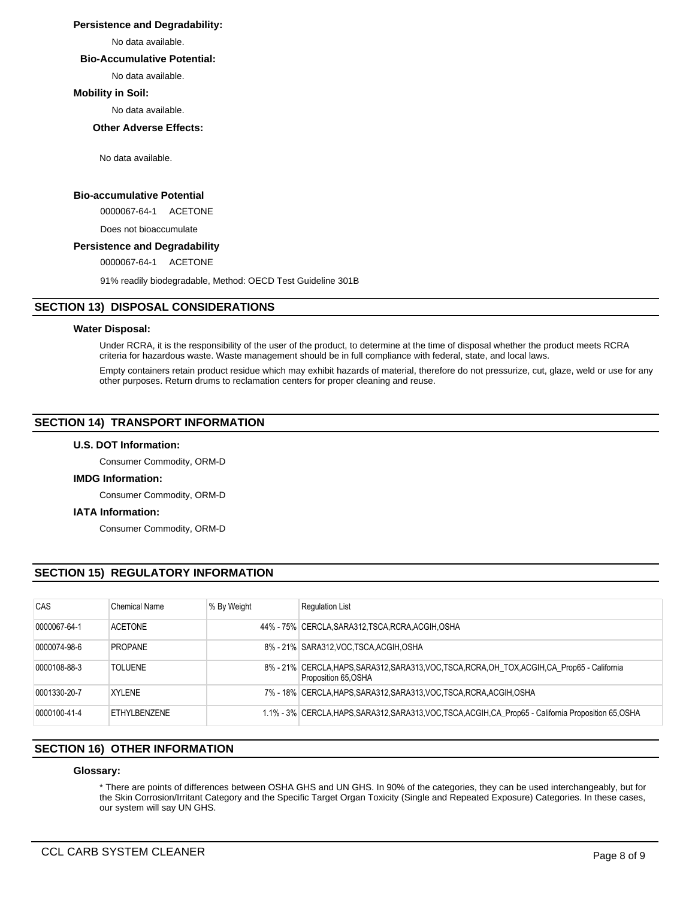## **Persistence and Degradability:**

No data available.

## **Bio-Accumulative Potential:**

No data available.

## **Mobility in Soil:**

No data available.

**Other Adverse Effects:**

No data available.

## **Bio-accumulative Potential**

0000067-64-1 ACETONE

Does not bioaccumulate

## **Persistence and Degradability**

0000067-64-1 ACETONE

91% readily biodegradable, Method: OECD Test Guideline 301B

## **SECTION 13) DISPOSAL CONSIDERATIONS**

## **Water Disposal:**

Under RCRA, it is the responsibility of the user of the product, to determine at the time of disposal whether the product meets RCRA criteria for hazardous waste. Waste management should be in full compliance with federal, state, and local laws.

Empty containers retain product residue which may exhibit hazards of material, therefore do not pressurize, cut, glaze, weld or use for any other purposes. Return drums to reclamation centers for proper cleaning and reuse.

## **SECTION 14) TRANSPORT INFORMATION**

## **U.S. DOT Information:**

Consumer Commodity, ORM-D

## **IMDG Information:**

Consumer Commodity, ORM-D

### **IATA Information:**

Consumer Commodity, ORM-D

# **SECTION 15) REGULATORY INFORMATION**

| CAS          | Chemical Name  | % By Weight | <b>Requlation List</b>                                                                                                  |
|--------------|----------------|-------------|-------------------------------------------------------------------------------------------------------------------------|
| 0000067-64-1 | <b>ACETONE</b> |             | 44% - 75% CERCLA, SARA312, TSCA, RCRA, ACGIH, OSHA                                                                      |
| 0000074-98-6 | <b>PROPANE</b> |             | 8% - 21% SARA312, VOC TSCA, ACGIH, OSHA                                                                                 |
| 0000108-88-3 | <b>TOLUENE</b> |             | 8% - 21% CERCLA, HAPS, SARA312, SARA313, VOC, TSCA, RCRA, OH TOX, ACGIH, CA Prop65 - California<br>Proposition 65, OSHA |
| 0001330-20-7 | XYLENE         |             | 7% - 18% CERCLA, HAPS, SARA312, SARA313, VOC, TSCA, RCRA, ACGIH, OSHA                                                   |
| 0000100-41-4 | FTHYLBENZENE   |             | 1.1% - 3% CERCLA, HAPS, SARA312, SARA313, VOC, TSCA, ACGIH, CA Prop65 - California Proposition 65, OSHA                 |

# **SECTION 16) OTHER INFORMATION**

## **Glossary:**

\* There are points of differences between OSHA GHS and UN GHS. In 90% of the categories, they can be used interchangeably, but for the Skin Corrosion/Irritant Category and the Specific Target Organ Toxicity (Single and Repeated Exposure) Categories. In these cases, our system will say UN GHS.